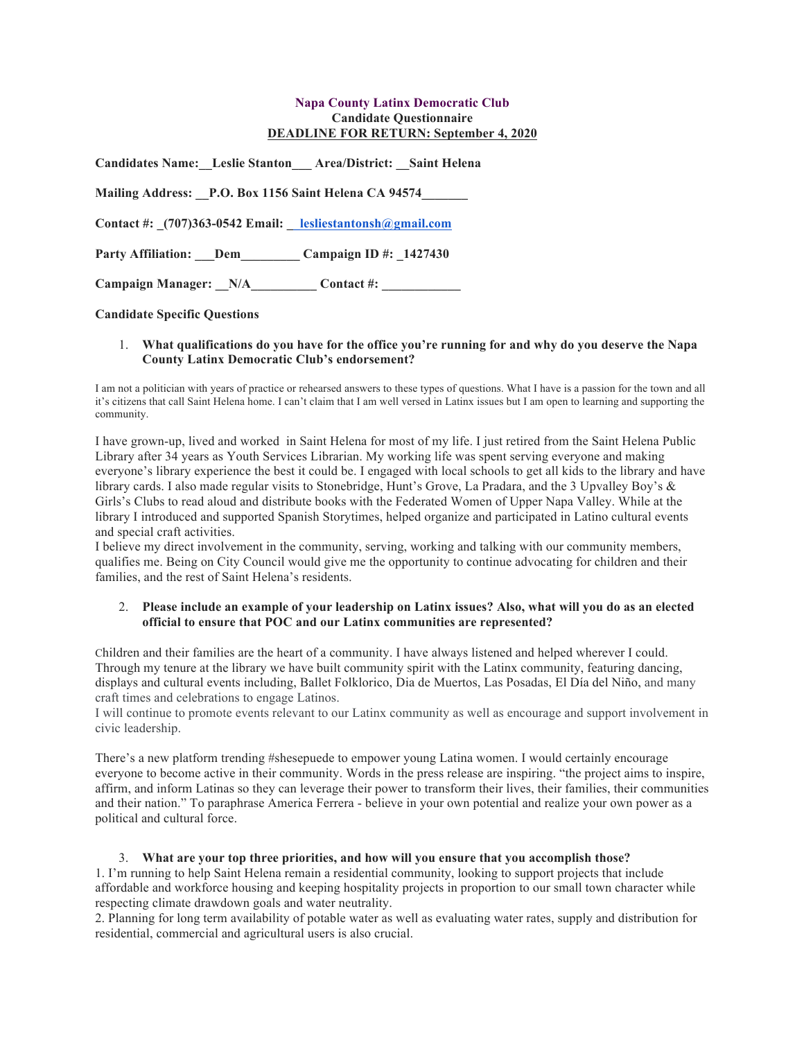### **Napa County Latinx Democratic Club Candidate Questionnaire DEADLINE FOR RETURN: September 4, 2020**

| Candidates Name: Leslie Stanton Area/District: Saint Helena |                        |
|-------------------------------------------------------------|------------------------|
| Mailing Address: P.O. Box 1156 Saint Helena CA 94574        |                        |
| Contact #: (707)363-0542 Email: lesliestantonsh@gmail.com   |                        |
| Party Affiliation: Dem                                      | Campaign ID #: 1427430 |
| Campaign Manager: N/A___________Contact #: ____________     |                        |

**Candidate Specific Questions**

### 1. **What qualifications do you have for the office you're running for and why do you deserve the Napa County Latinx Democratic Club's endorsement?**

I am not a politician with years of practice or rehearsed answers to these types of questions. What I have is a passion for the town and all it's citizens that call Saint Helena home. I can't claim that I am well versed in Latinx issues but I am open to learning and supporting the community.

I have grown-up, lived and worked in Saint Helena for most of my life. I just retired from the Saint Helena Public Library after 34 years as Youth Services Librarian. My working life was spent serving everyone and making everyone's library experience the best it could be. I engaged with local schools to get all kids to the library and have library cards. I also made regular visits to Stonebridge, Hunt's Grove, La Pradara, and the 3 Upvalley Boy's & Girls's Clubs to read aloud and distribute books with the Federated Women of Upper Napa Valley. While at the library I introduced and supported Spanish Storytimes, helped organize and participated in Latino cultural events and special craft activities.

I believe my direct involvement in the community, serving, working and talking with our community members, qualifies me. Being on City Council would give me the opportunity to continue advocating for children and their families, and the rest of Saint Helena's residents.

### 2. **Please include an example of your leadership on Latinx issues? Also, what will you do as an elected official to ensure that POC and our Latinx communities are represented?**

Children and their families are the heart of a community. I have always listened and helped wherever I could. Through my tenure at the library we have built community spirit with the Latinx community, featuring dancing, displays and cultural events including, Ballet Folklorico, Dia de Muertos, Las Posadas, El Día del Niño, and many craft times and celebrations to engage Latinos.

I will continue to promote events relevant to our Latinx community as well as encourage and support involvement in civic leadership.

There's a new platform trending #shesepuede to empower young Latina women. I would certainly encourage everyone to become active in their community. Words in the press release are inspiring. "the project aims to inspire, affirm, and inform Latinas so they can leverage their power to transform their lives, their families, their communities and their nation." To paraphrase America Ferrera - believe in your own potential and realize your own power as a political and cultural force.

# 3. **What are your top three priorities, and how will you ensure that you accomplish those?**

1. I'm running to help Saint Helena remain a residential community, looking to support projects that include affordable and workforce housing and keeping hospitality projects in proportion to our small town character while respecting climate drawdown goals and water neutrality.

2. Planning for long term availability of potable water as well as evaluating water rates, supply and distribution for residential, commercial and agricultural users is also crucial.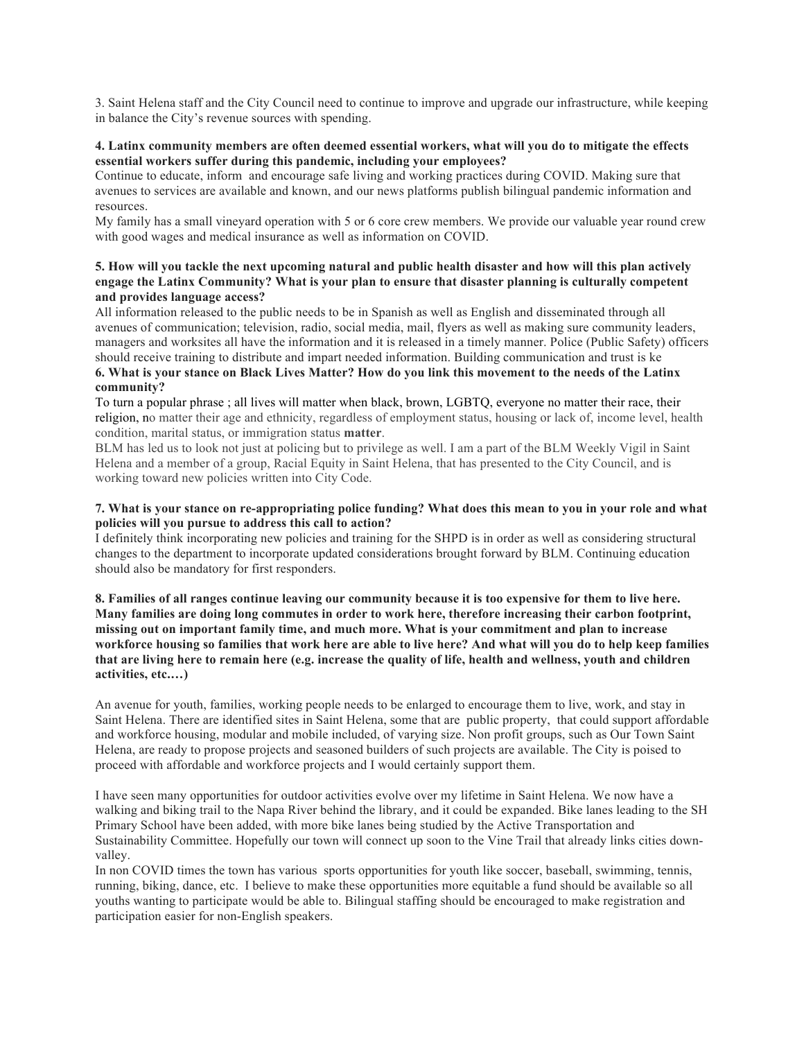3. Saint Helena staff and the City Council need to continue to improve and upgrade our infrastructure, while keeping in balance the City's revenue sources with spending.

### **4. Latinx community members are often deemed essential workers, what will you do to mitigate the effects essential workers suffer during this pandemic, including your employees?**

Continue to educate, inform and encourage safe living and working practices during COVID. Making sure that avenues to services are available and known, and our news platforms publish bilingual pandemic information and resources.

My family has a small vineyard operation with 5 or 6 core crew members. We provide our valuable year round crew with good wages and medical insurance as well as information on COVID.

## **5. How will you tackle the next upcoming natural and public health disaster and how will this plan actively engage the Latinx Community? What is your plan to ensure that disaster planning is culturally competent and provides language access?**

All information released to the public needs to be in Spanish as well as English and disseminated through all avenues of communication; television, radio, social media, mail, flyers as well as making sure community leaders, managers and worksites all have the information and it is released in a timely manner. Police (Public Safety) officers should receive training to distribute and impart needed information. Building communication and trust is ke **6. What is your stance on Black Lives Matter? How do you link this movement to the needs of the Latinx** 

#### **community?**

To turn a popular phrase ; all lives will matter when black, brown, LGBTQ, everyone no matter their race, their religion, no matter their age and ethnicity, regardless of employment status, housing or lack of, income level, health condition, marital status, or immigration status **matter**.

BLM has led us to look not just at policing but to privilege as well. I am a part of the BLM Weekly Vigil in Saint Helena and a member of a group, Racial Equity in Saint Helena, that has presented to the City Council, and is working toward new policies written into City Code.

### **7. What is your stance on re-appropriating police funding? What does this mean to you in your role and what policies will you pursue to address this call to action?**

I definitely think incorporating new policies and training for the SHPD is in order as well as considering structural changes to the department to incorporate updated considerations brought forward by BLM. Continuing education should also be mandatory for first responders.

**8. Families of all ranges continue leaving our community because it is too expensive for them to live here. Many families are doing long commutes in order to work here, therefore increasing their carbon footprint, missing out on important family time, and much more. What is your commitment and plan to increase workforce housing so families that work here are able to live here? And what will you do to help keep families that are living here to remain here (e.g. increase the quality of life, health and wellness, youth and children activities, etc.…)**

An avenue for youth, families, working people needs to be enlarged to encourage them to live, work, and stay in Saint Helena. There are identified sites in Saint Helena, some that are public property, that could support affordable and workforce housing, modular and mobile included, of varying size. Non profit groups, such as Our Town Saint Helena, are ready to propose projects and seasoned builders of such projects are available. The City is poised to proceed with affordable and workforce projects and I would certainly support them.

I have seen many opportunities for outdoor activities evolve over my lifetime in Saint Helena. We now have a walking and biking trail to the Napa River behind the library, and it could be expanded. Bike lanes leading to the SH Primary School have been added, with more bike lanes being studied by the Active Transportation and Sustainability Committee. Hopefully our town will connect up soon to the Vine Trail that already links cities downvalley.

In non COVID times the town has various sports opportunities for youth like soccer, baseball, swimming, tennis, running, biking, dance, etc. I believe to make these opportunities more equitable a fund should be available so all youths wanting to participate would be able to. Bilingual staffing should be encouraged to make registration and participation easier for non-English speakers.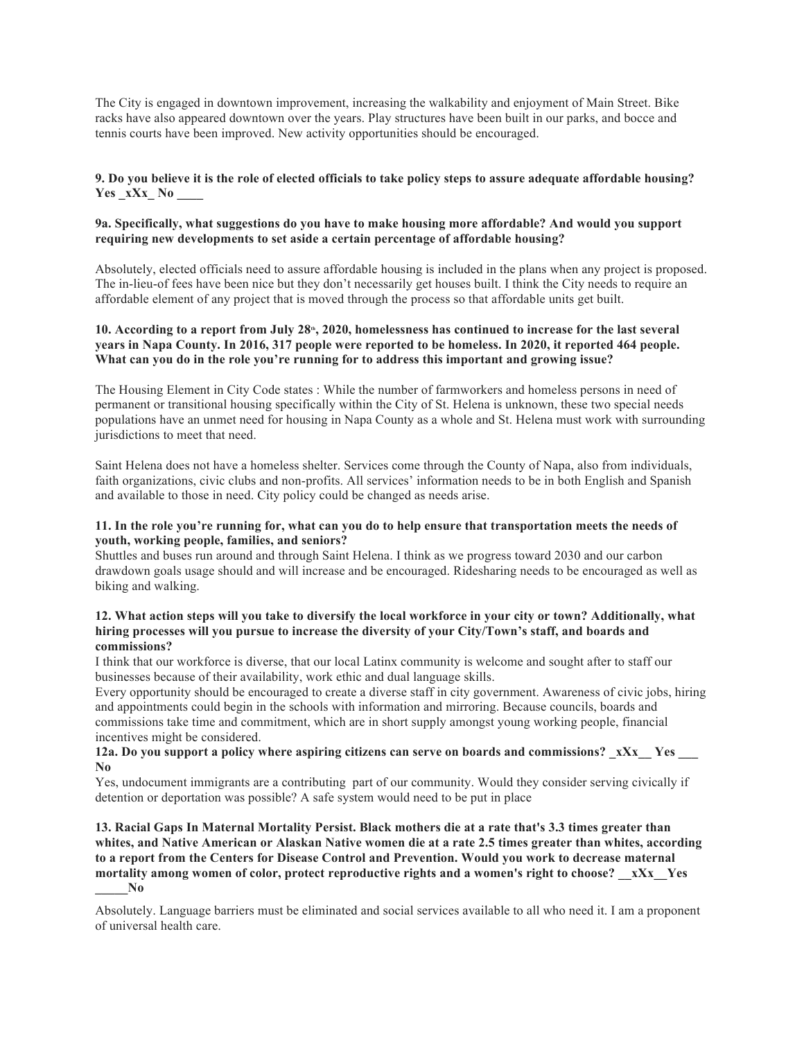The City is engaged in downtown improvement, increasing the walkability and enjoyment of Main Street. Bike racks have also appeared downtown over the years. Play structures have been built in our parks, and bocce and tennis courts have been improved. New activity opportunities should be encouraged.

# **9. Do you believe it is the role of elected officials to take policy steps to assure adequate affordable housing? Yes \_xXx\_ No \_\_\_\_**

## **9a. Specifically, what suggestions do you have to make housing more affordable? And would you support requiring new developments to set aside a certain percentage of affordable housing?**

Absolutely, elected officials need to assure affordable housing is included in the plans when any project is proposed. The in-lieu-of fees have been nice but they don't necessarily get houses built. I think the City needs to require an affordable element of any project that is moved through the process so that affordable units get built.

## 10. According to a report from July 28<sup>th</sup>, 2020, homelessness has continued to increase for the last several **years in Napa County. In 2016, 317 people were reported to be homeless. In 2020, it reported 464 people. What can you do in the role you're running for to address this important and growing issue?**

The Housing Element in City Code states : While the number of farmworkers and homeless persons in need of permanent or transitional housing specifically within the City of St. Helena is unknown, these two special needs populations have an unmet need for housing in Napa County as a whole and St. Helena must work with surrounding jurisdictions to meet that need.

Saint Helena does not have a homeless shelter. Services come through the County of Napa, also from individuals, faith organizations, civic clubs and non-profits. All services' information needs to be in both English and Spanish and available to those in need. City policy could be changed as needs arise.

### **11. In the role you're running for, what can you do to help ensure that transportation meets the needs of youth, working people, families, and seniors?**

Shuttles and buses run around and through Saint Helena. I think as we progress toward 2030 and our carbon drawdown goals usage should and will increase and be encouraged. Ridesharing needs to be encouraged as well as biking and walking.

### **12. What action steps will you take to diversify the local workforce in your city or town? Additionally, what hiring processes will you pursue to increase the diversity of your City/Town's staff, and boards and commissions?**

I think that our workforce is diverse, that our local Latinx community is welcome and sought after to staff our businesses because of their availability, work ethic and dual language skills.

Every opportunity should be encouraged to create a diverse staff in city government. Awareness of civic jobs, hiring and appointments could begin in the schools with information and mirroring. Because councils, boards and commissions take time and commitment, which are in short supply amongst young working people, financial incentives might be considered.

### **12a. Do you support a policy where aspiring citizens can serve on boards and commissions?** xXx Yes **No**

Yes, undocument immigrants are a contributing part of our community. Would they consider serving civically if detention or deportation was possible? A safe system would need to be put in place

**13. Racial Gaps In Maternal Mortality Persist. Black mothers die at a rate that's 3.3 times greater than whites, and Native American or Alaskan Native women die at a rate 2.5 times greater than whites, according to a report from the Centers for Disease Control and Prevention. Would you work to decrease maternal mortality among women of color, protect reproductive rights and a women's right to choose? \_\_xXx\_\_Yes \_\_\_\_\_No**

Absolutely. Language barriers must be eliminated and social services available to all who need it. I am a proponent of universal health care.